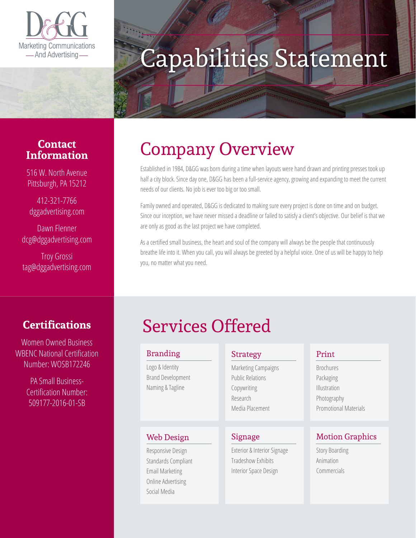

# Capabilities Statement

#### **Contact Information**

516 W. North Avenue Pittsburgh, PA 15212

412-321-7766 dggadvertising.com

Dawn Flenner dcg@dggadvertising.com

Troy Grossi tag@dggadvertising.com

## Company Overview

Established in 1984, D&GG was born during a time when layouts were hand drawn and printing presses took up half a city block. Since day one, D&GG has been a full-service agency, growing and expanding to meet the current needs of our clients. No job is ever too big or too small.

Family owned and operated, D&GG is dedicated to making sure every project is done on time and on budget. Since our inception, we have never missed a deadline or failed to satisfy a client's objective. Our belief is that we are only as good as the last project we have completed.

As a certified small business, the heart and soul of the company will always be the people that continuously breathe life into it. When you call, you will always be greeted by a helpful voice. One of us will be happy to help you, no matter what you need.

## **Certifications**

Women Owned Business WBENC National Certification Number: WOSB172246

> PA Small Business-Certification Number: 509177-2016-01-SB

# Services Offered

#### Branding

Logo & Identity Brand Development Naming & Tagline

#### Web Design

Responsive Design Standards Compliant Email Marketing Online Advertising Social Media

#### Strategy

Marketing Campaigns Public Relations Copywriting Research Media Placement

#### Signage

Exterior & Interior Signage Tradeshow Exhibits Interior Space Design

#### Print

Brochures Packaging Illustration Photography Promotional Materials

#### Motion Graphics

Story Boarding Animation Commercials